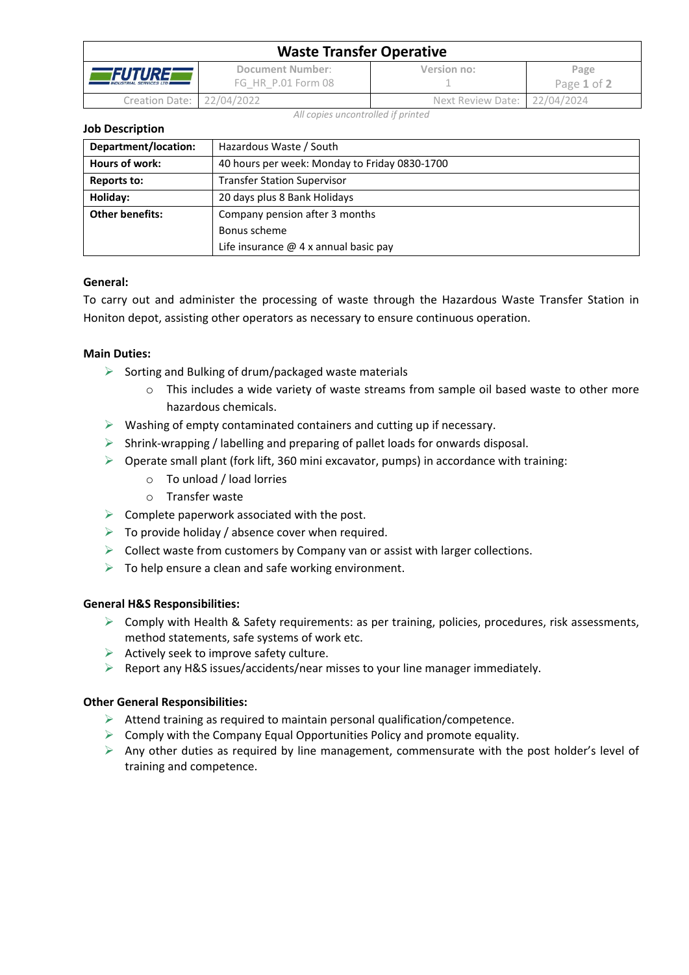| <b>Waste Transfer Operative</b>                          |                                        |                              |                     |  |  |
|----------------------------------------------------------|----------------------------------------|------------------------------|---------------------|--|--|
| <i><b>FUTURE</b></i><br><b>INDUSTRIAL SERVICES LTD #</b> | Document Number:<br>FG HR P.01 Form 08 | Version no:                  | Page<br>Page 1 of 2 |  |  |
| Creation Date: 22/04/2022                                |                                        | Next Review Date: 22/04/2024 |                     |  |  |

*All copies uncontrolled if printed*

**Job Description**

| Department/location:   | Hazardous Waste / South                       |  |  |
|------------------------|-----------------------------------------------|--|--|
| Hours of work:         | 40 hours per week: Monday to Friday 0830-1700 |  |  |
| Reports to:            | <b>Transfer Station Supervisor</b>            |  |  |
| Holiday:               | 20 days plus 8 Bank Holidays                  |  |  |
| <b>Other benefits:</b> | Company pension after 3 months                |  |  |
|                        | Bonus scheme                                  |  |  |
|                        | Life insurance $@$ 4 x annual basic pay       |  |  |

## **General:**

To carry out and administer the processing of waste through the Hazardous Waste Transfer Station in Honiton depot, assisting other operators as necessary to ensure continuous operation.

### **Main Duties:**

- $\triangleright$  Sorting and Bulking of drum/packaged waste materials
	- $\circ$  This includes a wide variety of waste streams from sample oil based waste to other more hazardous chemicals.
- $\triangleright$  Washing of empty contaminated containers and cutting up if necessary.
- ➢ Shrink-wrapping / labelling and preparing of pallet loads for onwards disposal.
- $\triangleright$  Operate small plant (fork lift, 360 mini excavator, pumps) in accordance with training:
	- o To unload / load lorries
	- o Transfer waste
- $\triangleright$  Complete paperwork associated with the post.
- $\triangleright$  To provide holiday / absence cover when required.
- ➢ Collect waste from customers by Company van or assist with larger collections.
- $\triangleright$  To help ensure a clean and safe working environment.

### **General H&S Responsibilities:**

- $\triangleright$  Comply with Health & Safety requirements: as per training, policies, procedures, risk assessments, method statements, safe systems of work etc.
- $\triangleright$  Actively seek to improve safety culture.
- $\triangleright$  Report any H&S issues/accidents/near misses to your line manager immediately.

### **Other General Responsibilities:**

- $\triangleright$  Attend training as required to maintain personal qualification/competence.
- $\triangleright$  Comply with the Company Equal Opportunities Policy and promote equality.
- $\triangleright$  Any other duties as required by line management, commensurate with the post holder's level of training and competence.